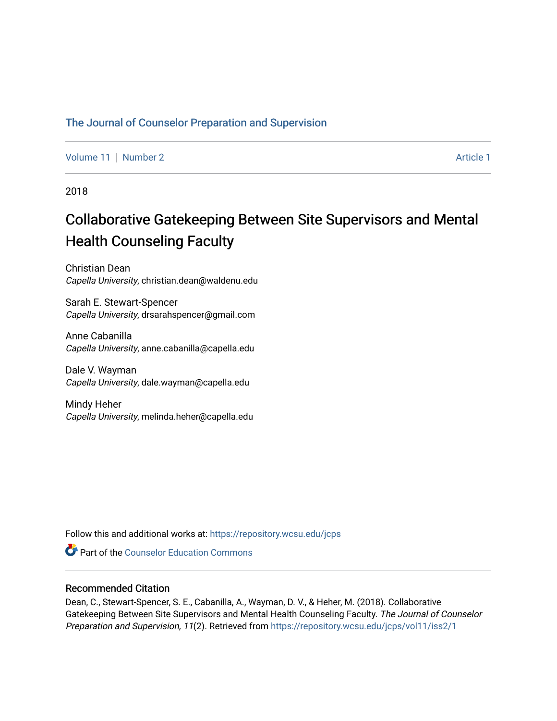# [The Journal of Counselor Preparation and Supervision](https://repository.wcsu.edu/jcps)

[Volume 11](https://repository.wcsu.edu/jcps/vol11) | [Number 2](https://repository.wcsu.edu/jcps/vol11/iss2) [Article 1](https://repository.wcsu.edu/jcps/vol11/iss2/1) | Number 2 Article 1 | Number 2 Article 1 | Article 1 | Article 1 | Article 1 | Article 1 | Article 1 | Article 1 | Article 1 | Article 1 | Article 1 | Article 1 | Article 1 | Article 1 | Art

2018

# Collaborative Gatekeeping Between Site Supervisors and Mental Health Counseling Faculty

Christian Dean Capella University, christian.dean@waldenu.edu

Sarah E. Stewart-Spencer Capella University, drsarahspencer@gmail.com

Anne Cabanilla Capella University, anne.cabanilla@capella.edu

Dale V. Wayman Capella University, dale.wayman@capella.edu

Mindy Heher Capella University, melinda.heher@capella.edu

Follow this and additional works at: [https://repository.wcsu.edu/jcps](https://repository.wcsu.edu/jcps?utm_source=repository.wcsu.edu%2Fjcps%2Fvol11%2Fiss2%2F1&utm_medium=PDF&utm_campaign=PDFCoverPages) 

**C** Part of the Counselor Education Commons

# Recommended Citation

Dean, C., Stewart-Spencer, S. E., Cabanilla, A., Wayman, D. V., & Heher, M. (2018). Collaborative Gatekeeping Between Site Supervisors and Mental Health Counseling Faculty. The Journal of Counselor Preparation and Supervision, 11(2). Retrieved from [https://repository.wcsu.edu/jcps/vol11/iss2/1](https://repository.wcsu.edu/jcps/vol11/iss2/1?utm_source=repository.wcsu.edu%2Fjcps%2Fvol11%2Fiss2%2F1&utm_medium=PDF&utm_campaign=PDFCoverPages)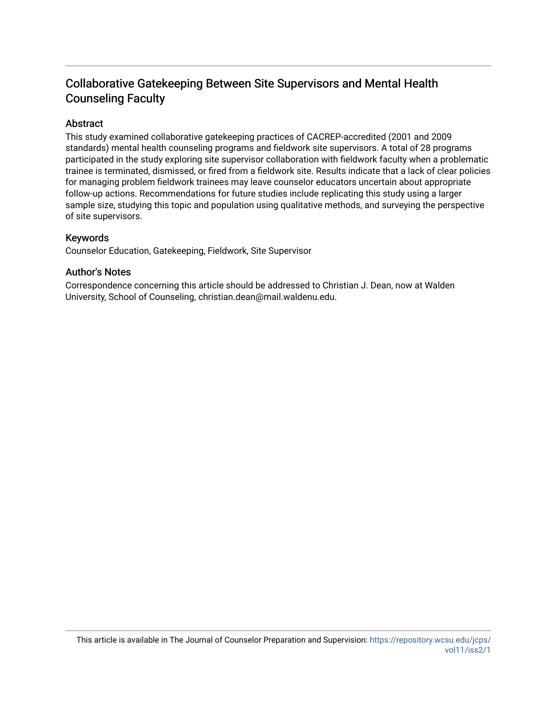# Collaborative Gatekeeping Between Site Supervisors and Mental Health Counseling Faculty

# Abstract

This study examined collaborative gatekeeping practices of CACREP-accredited (2001 and 2009 standards) mental health counseling programs and fieldwork site supervisors. A total of 28 programs participated in the study exploring site supervisor collaboration with fieldwork faculty when a problematic trainee is terminated, dismissed, or fired from a fieldwork site. Results indicate that a lack of clear policies for managing problem fieldwork trainees may leave counselor educators uncertain about appropriate follow-up actions. Recommendations for future studies include replicating this study using a larger sample size, studying this topic and population using qualitative methods, and surveying the perspective of site supervisors.

# Keywords

Counselor Education, Gatekeeping, Fieldwork, Site Supervisor

# Author's Notes

Correspondence concerning this article should be addressed to Christian J. Dean, now at Walden University, School of Counseling, christian.dean@mail.waldenu.edu.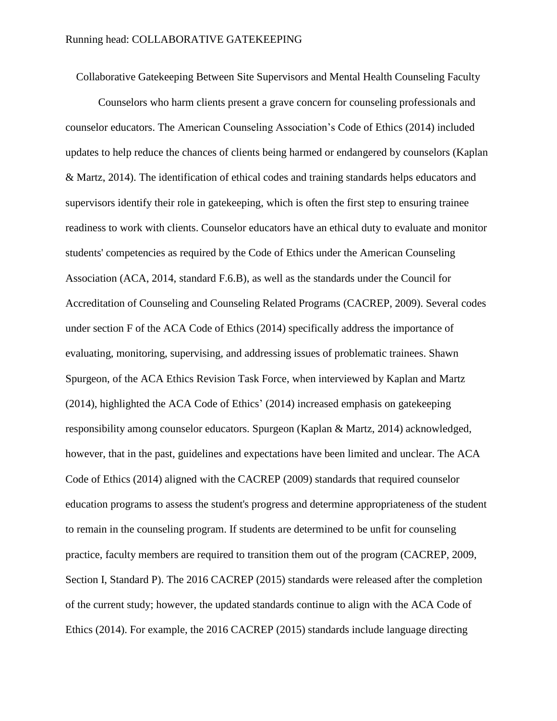Collaborative Gatekeeping Between Site Supervisors and Mental Health Counseling Faculty

Counselors who harm clients present a grave concern for counseling professionals and counselor educators. The American Counseling Association's Code of Ethics (2014) included updates to help reduce the chances of clients being harmed or endangered by counselors (Kaplan & Martz, 2014). The identification of ethical codes and training standards helps educators and supervisors identify their role in gatekeeping, which is often the first step to ensuring trainee readiness to work with clients. Counselor educators have an ethical duty to evaluate and monitor students' competencies as required by the Code of Ethics under the American Counseling Association (ACA, 2014, standard F.6.B), as well as the standards under the Council for Accreditation of Counseling and Counseling Related Programs (CACREP, 2009). Several codes under section F of the ACA Code of Ethics (2014) specifically address the importance of evaluating, monitoring, supervising, and addressing issues of problematic trainees. Shawn Spurgeon, of the ACA Ethics Revision Task Force, when interviewed by Kaplan and Martz (2014), highlighted the ACA Code of Ethics' (2014) increased emphasis on gatekeeping responsibility among counselor educators. Spurgeon (Kaplan & Martz, 2014) acknowledged, however, that in the past, guidelines and expectations have been limited and unclear. The ACA Code of Ethics (2014) aligned with the CACREP (2009) standards that required counselor education programs to assess the student's progress and determine appropriateness of the student to remain in the counseling program. If students are determined to be unfit for counseling practice, faculty members are required to transition them out of the program (CACREP, 2009, Section I, Standard P). The 2016 CACREP (2015) standards were released after the completion of the current study; however, the updated standards continue to align with the ACA Code of Ethics (2014). For example, the 2016 CACREP (2015) standards include language directing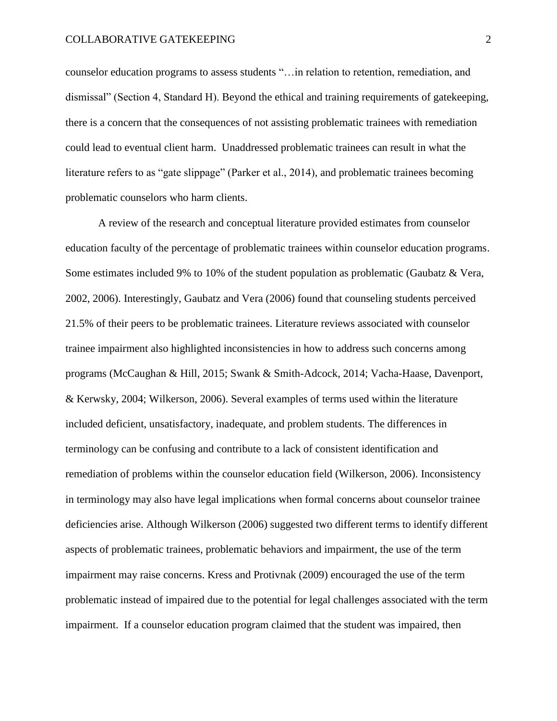counselor education programs to assess students "…in relation to retention, remediation, and dismissal" (Section 4, Standard H). Beyond the ethical and training requirements of gatekeeping, there is a concern that the consequences of not assisting problematic trainees with remediation could lead to eventual client harm. Unaddressed problematic trainees can result in what the literature refers to as "gate slippage" (Parker et al., 2014), and problematic trainees becoming problematic counselors who harm clients.

A review of the research and conceptual literature provided estimates from counselor education faculty of the percentage of problematic trainees within counselor education programs. Some estimates included 9% to 10% of the student population as problematic (Gaubatz & Vera, 2002, 2006). Interestingly, Gaubatz and Vera (2006) found that counseling students perceived 21.5% of their peers to be problematic trainees. Literature reviews associated with counselor trainee impairment also highlighted inconsistencies in how to address such concerns among programs (McCaughan & Hill, 2015; Swank & Smith-Adcock, 2014; Vacha-Haase, Davenport, & Kerwsky, 2004; Wilkerson, 2006). Several examples of terms used within the literature included deficient, unsatisfactory, inadequate, and problem students. The differences in terminology can be confusing and contribute to a lack of consistent identification and remediation of problems within the counselor education field (Wilkerson, 2006). Inconsistency in terminology may also have legal implications when formal concerns about counselor trainee deficiencies arise. Although Wilkerson (2006) suggested two different terms to identify different aspects of problematic trainees, problematic behaviors and impairment, the use of the term impairment may raise concerns. Kress and Protivnak (2009) encouraged the use of the term problematic instead of impaired due to the potential for legal challenges associated with the term impairment. If a counselor education program claimed that the student was impaired, then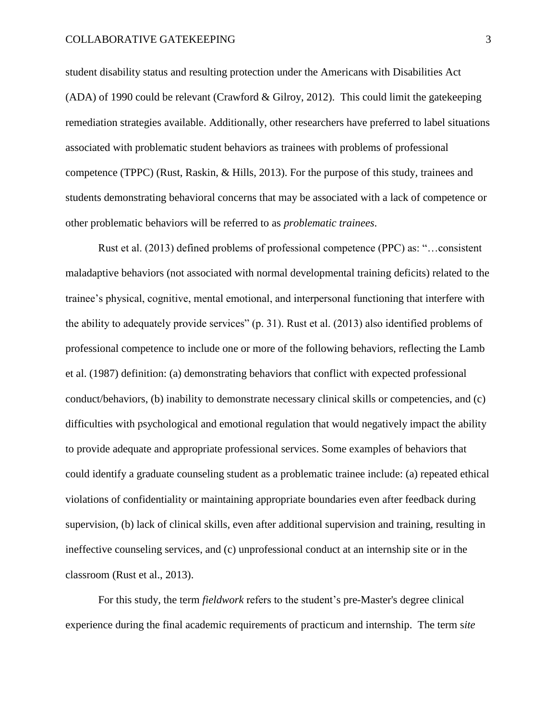student disability status and resulting protection under the Americans with Disabilities Act (ADA) of 1990 could be relevant (Crawford & Gilroy, 2012). This could limit the gatekeeping remediation strategies available. Additionally, other researchers have preferred to label situations associated with problematic student behaviors as trainees with problems of professional competence (TPPC) (Rust, Raskin, & Hills, 2013). For the purpose of this study, trainees and students demonstrating behavioral concerns that may be associated with a lack of competence or other problematic behaviors will be referred to as *problematic trainees*.

Rust et al. (2013) defined problems of professional competence (PPC) as: "…consistent maladaptive behaviors (not associated with normal developmental training deficits) related to the trainee's physical, cognitive, mental emotional, and interpersonal functioning that interfere with the ability to adequately provide services" (p. 31). Rust et al. (2013) also identified problems of professional competence to include one or more of the following behaviors, reflecting the Lamb et al. (1987) definition: (a) demonstrating behaviors that conflict with expected professional conduct/behaviors, (b) inability to demonstrate necessary clinical skills or competencies, and (c) difficulties with psychological and emotional regulation that would negatively impact the ability to provide adequate and appropriate professional services. Some examples of behaviors that could identify a graduate counseling student as a problematic trainee include: (a) repeated ethical violations of confidentiality or maintaining appropriate boundaries even after feedback during supervision, (b) lack of clinical skills, even after additional supervision and training, resulting in ineffective counseling services, and (c) unprofessional conduct at an internship site or in the classroom (Rust et al., 2013).

For this study, the term *fieldwork* refers to the student's pre-Master's degree clinical experience during the final academic requirements of practicum and internship. The term s*ite*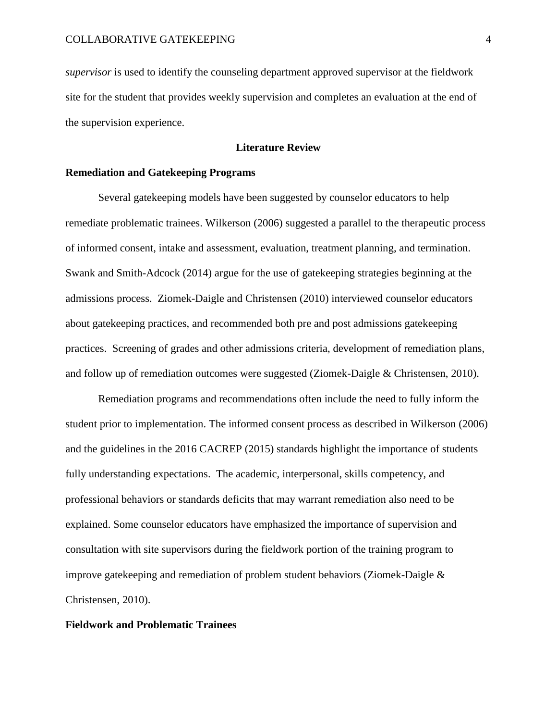*supervisor* is used to identify the counseling department approved supervisor at the fieldwork site for the student that provides weekly supervision and completes an evaluation at the end of the supervision experience.

# **Literature Review**

# **Remediation and Gatekeeping Programs**

Several gatekeeping models have been suggested by counselor educators to help remediate problematic trainees. Wilkerson (2006) suggested a parallel to the therapeutic process of informed consent, intake and assessment, evaluation, treatment planning, and termination. Swank and Smith-Adcock (2014) argue for the use of gatekeeping strategies beginning at the admissions process. Ziomek-Daigle and Christensen (2010) interviewed counselor educators about gatekeeping practices, and recommended both pre and post admissions gatekeeping practices. Screening of grades and other admissions criteria, development of remediation plans, and follow up of remediation outcomes were suggested (Ziomek-Daigle & Christensen, 2010).

Remediation programs and recommendations often include the need to fully inform the student prior to implementation. The informed consent process as described in Wilkerson (2006) and the guidelines in the 2016 CACREP (2015) standards highlight the importance of students fully understanding expectations. The academic, interpersonal, skills competency, and professional behaviors or standards deficits that may warrant remediation also need to be explained. Some counselor educators have emphasized the importance of supervision and consultation with site supervisors during the fieldwork portion of the training program to improve gatekeeping and remediation of problem student behaviors (Ziomek-Daigle & Christensen, 2010).

#### **Fieldwork and Problematic Trainees**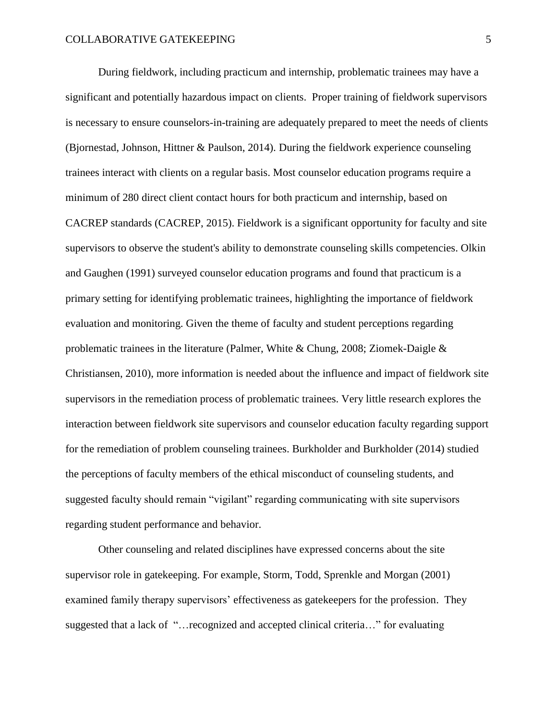During fieldwork, including practicum and internship, problematic trainees may have a significant and potentially hazardous impact on clients. Proper training of fieldwork supervisors is necessary to ensure counselors-in-training are adequately prepared to meet the needs of clients (Bjornestad, Johnson, Hittner & Paulson, 2014). During the fieldwork experience counseling trainees interact with clients on a regular basis. Most counselor education programs require a minimum of 280 direct client contact hours for both practicum and internship, based on CACREP standards (CACREP, 2015). Fieldwork is a significant opportunity for faculty and site supervisors to observe the student's ability to demonstrate counseling skills competencies. Olkin and Gaughen (1991) surveyed counselor education programs and found that practicum is a primary setting for identifying problematic trainees, highlighting the importance of fieldwork evaluation and monitoring. Given the theme of faculty and student perceptions regarding problematic trainees in the literature (Palmer, White & Chung, 2008; Ziomek-Daigle & Christiansen, 2010), more information is needed about the influence and impact of fieldwork site supervisors in the remediation process of problematic trainees. Very little research explores the interaction between fieldwork site supervisors and counselor education faculty regarding support for the remediation of problem counseling trainees. Burkholder and Burkholder (2014) studied the perceptions of faculty members of the ethical misconduct of counseling students, and suggested faculty should remain "vigilant" regarding communicating with site supervisors regarding student performance and behavior.

Other counseling and related disciplines have expressed concerns about the site supervisor role in gatekeeping. For example, Storm, Todd, Sprenkle and Morgan (2001) examined family therapy supervisors' effectiveness as gatekeepers for the profession. They suggested that a lack of "…recognized and accepted clinical criteria…" for evaluating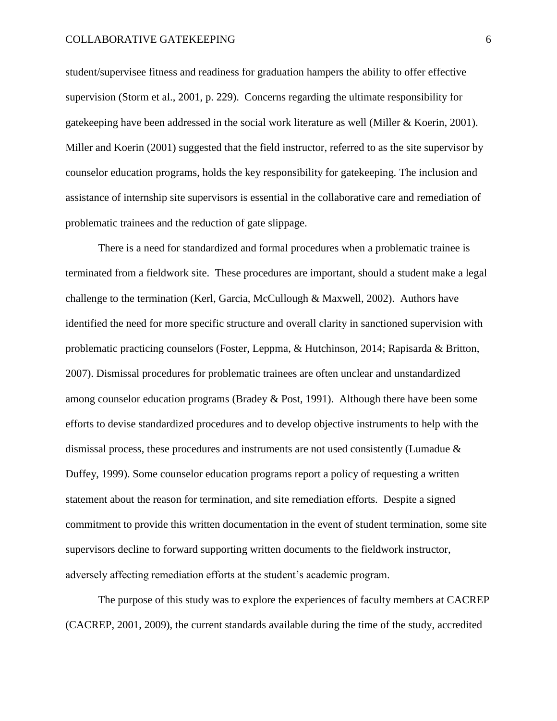student/supervisee fitness and readiness for graduation hampers the ability to offer effective supervision (Storm et al., 2001, p. 229). Concerns regarding the ultimate responsibility for gatekeeping have been addressed in the social work literature as well (Miller & Koerin, 2001). Miller and Koerin (2001) suggested that the field instructor, referred to as the site supervisor by counselor education programs, holds the key responsibility for gatekeeping. The inclusion and assistance of internship site supervisors is essential in the collaborative care and remediation of problematic trainees and the reduction of gate slippage.

There is a need for standardized and formal procedures when a problematic trainee is terminated from a fieldwork site. These procedures are important, should a student make a legal challenge to the termination (Kerl, Garcia, McCullough & Maxwell, 2002). Authors have identified the need for more specific structure and overall clarity in sanctioned supervision with problematic practicing counselors (Foster, Leppma, & Hutchinson, 2014; Rapisarda & Britton, 2007). Dismissal procedures for problematic trainees are often unclear and unstandardized among counselor education programs (Bradey & Post, 1991). Although there have been some efforts to devise standardized procedures and to develop objective instruments to help with the dismissal process, these procedures and instruments are not used consistently (Lumadue & Duffey, 1999). Some counselor education programs report a policy of requesting a written statement about the reason for termination, and site remediation efforts. Despite a signed commitment to provide this written documentation in the event of student termination, some site supervisors decline to forward supporting written documents to the fieldwork instructor, adversely affecting remediation efforts at the student's academic program.

The purpose of this study was to explore the experiences of faculty members at CACREP (CACREP, 2001, 2009), the current standards available during the time of the study, accredited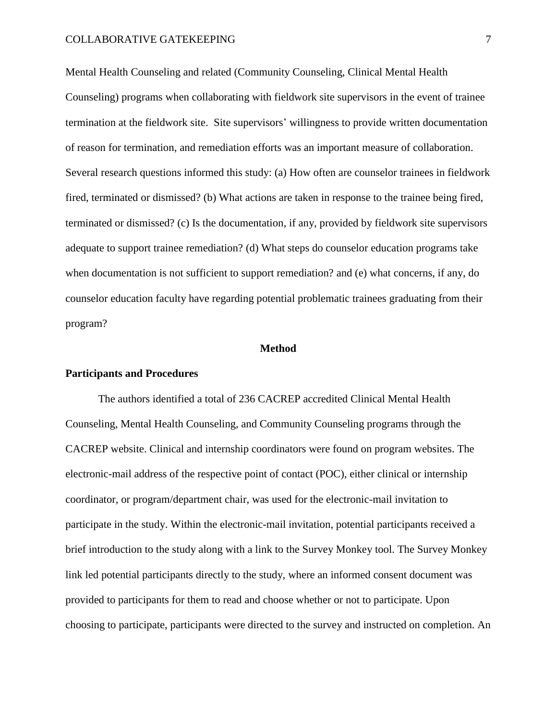Mental Health Counseling and related (Community Counseling, Clinical Mental Health Counseling) programs when collaborating with fieldwork site supervisors in the event of trainee termination at the fieldwork site. Site supervisors' willingness to provide written documentation of reason for termination, and remediation efforts was an important measure of collaboration. Several research questions informed this study: (a) How often are counselor trainees in fieldwork fired, terminated or dismissed? (b) What actions are taken in response to the trainee being fired, terminated or dismissed? (c) Is the documentation, if any, provided by fieldwork site supervisors adequate to support trainee remediation? (d) What steps do counselor education programs take when documentation is not sufficient to support remediation? and (e) what concerns, if any, do counselor education faculty have regarding potential problematic trainees graduating from their program?

#### **Method**

#### **Participants and Procedures**

The authors identified a total of 236 CACREP accredited Clinical Mental Health Counseling, Mental Health Counseling, and Community Counseling programs through the CACREP website. Clinical and internship coordinators were found on program websites. The electronic-mail address of the respective point of contact (POC), either clinical or internship coordinator, or program/department chair, was used for the electronic-mail invitation to participate in the study. Within the electronic-mail invitation, potential participants received a brief introduction to the study along with a link to the Survey Monkey tool. The Survey Monkey link led potential participants directly to the study, where an informed consent document was provided to participants for them to read and choose whether or not to participate. Upon choosing to participate, participants were directed to the survey and instructed on completion. An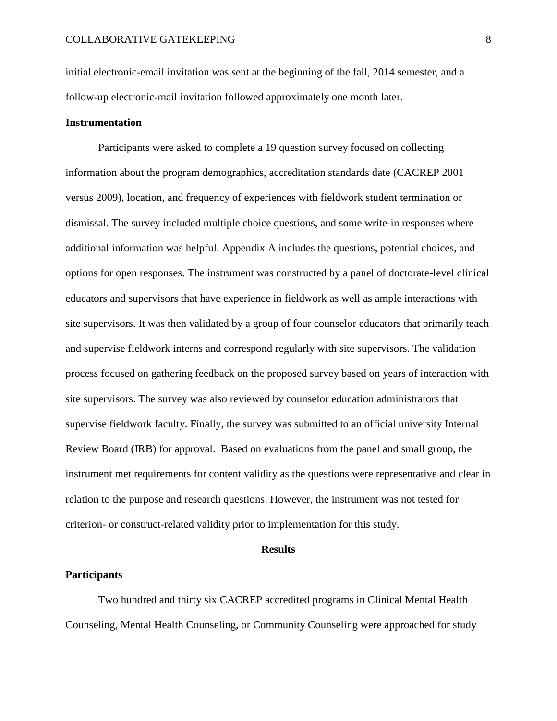initial electronic-email invitation was sent at the beginning of the fall, 2014 semester, and a follow-up electronic-mail invitation followed approximately one month later.

# **Instrumentation**

Participants were asked to complete a 19 question survey focused on collecting information about the program demographics, accreditation standards date (CACREP 2001 versus 2009), location, and frequency of experiences with fieldwork student termination or dismissal. The survey included multiple choice questions, and some write-in responses where additional information was helpful. Appendix A includes the questions, potential choices, and options for open responses. The instrument was constructed by a panel of doctorate-level clinical educators and supervisors that have experience in fieldwork as well as ample interactions with site supervisors. It was then validated by a group of four counselor educators that primarily teach and supervise fieldwork interns and correspond regularly with site supervisors. The validation process focused on gathering feedback on the proposed survey based on years of interaction with site supervisors. The survey was also reviewed by counselor education administrators that supervise fieldwork faculty. Finally, the survey was submitted to an official university Internal Review Board (IRB) for approval. Based on evaluations from the panel and small group, the instrument met requirements for content validity as the questions were representative and clear in relation to the purpose and research questions. However, the instrument was not tested for criterion- or construct-related validity prior to implementation for this study.

#### **Results**

#### **Participants**

Two hundred and thirty six CACREP accredited programs in Clinical Mental Health Counseling, Mental Health Counseling, or Community Counseling were approached for study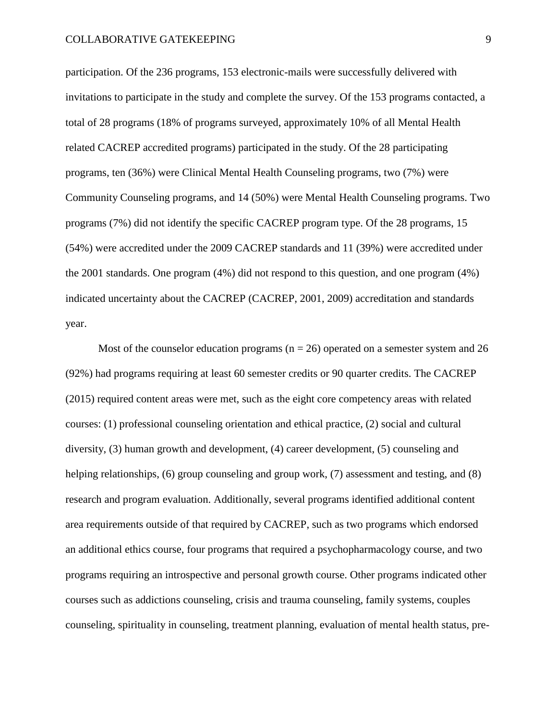participation. Of the 236 programs, 153 electronic-mails were successfully delivered with invitations to participate in the study and complete the survey. Of the 153 programs contacted, a total of 28 programs (18% of programs surveyed, approximately 10% of all Mental Health related CACREP accredited programs) participated in the study. Of the 28 participating programs, ten (36%) were Clinical Mental Health Counseling programs, two (7%) were Community Counseling programs, and 14 (50%) were Mental Health Counseling programs. Two programs (7%) did not identify the specific CACREP program type. Of the 28 programs, 15 (54%) were accredited under the 2009 CACREP standards and 11 (39%) were accredited under the 2001 standards. One program (4%) did not respond to this question, and one program (4%) indicated uncertainty about the CACREP (CACREP, 2001, 2009) accreditation and standards year.

Most of the counselor education programs ( $n = 26$ ) operated on a semester system and 26 (92%) had programs requiring at least 60 semester credits or 90 quarter credits. The CACREP (2015) required content areas were met, such as the eight core competency areas with related courses: (1) professional counseling orientation and ethical practice, (2) social and cultural diversity, (3) human growth and development, (4) career development, (5) counseling and helping relationships, (6) group counseling and group work, (7) assessment and testing, and (8) research and program evaluation. Additionally, several programs identified additional content area requirements outside of that required by CACREP, such as two programs which endorsed an additional ethics course, four programs that required a psychopharmacology course, and two programs requiring an introspective and personal growth course. Other programs indicated other courses such as addictions counseling, crisis and trauma counseling, family systems, couples counseling, spirituality in counseling, treatment planning, evaluation of mental health status, pre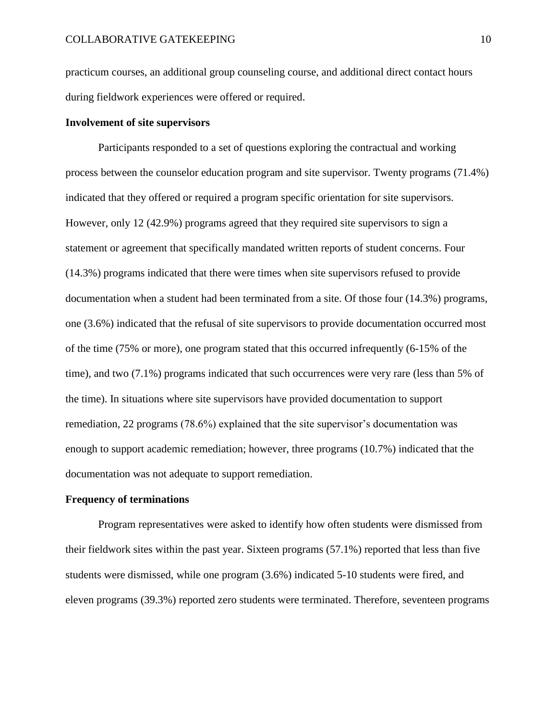practicum courses, an additional group counseling course, and additional direct contact hours during fieldwork experiences were offered or required.

# **Involvement of site supervisors**

Participants responded to a set of questions exploring the contractual and working process between the counselor education program and site supervisor. Twenty programs (71.4%) indicated that they offered or required a program specific orientation for site supervisors. However, only 12 (42.9%) programs agreed that they required site supervisors to sign a statement or agreement that specifically mandated written reports of student concerns. Four (14.3%) programs indicated that there were times when site supervisors refused to provide documentation when a student had been terminated from a site. Of those four (14.3%) programs, one (3.6%) indicated that the refusal of site supervisors to provide documentation occurred most of the time (75% or more), one program stated that this occurred infrequently (6-15% of the time), and two (7.1%) programs indicated that such occurrences were very rare (less than 5% of the time). In situations where site supervisors have provided documentation to support remediation, 22 programs (78.6%) explained that the site supervisor's documentation was enough to support academic remediation; however, three programs (10.7%) indicated that the documentation was not adequate to support remediation.

#### **Frequency of terminations**

Program representatives were asked to identify how often students were dismissed from their fieldwork sites within the past year. Sixteen programs (57.1%) reported that less than five students were dismissed, while one program (3.6%) indicated 5-10 students were fired, and eleven programs (39.3%) reported zero students were terminated. Therefore, seventeen programs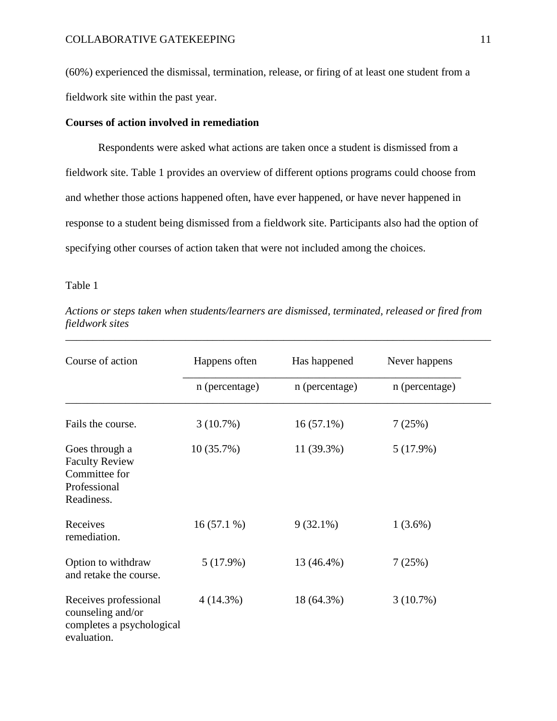(60%) experienced the dismissal, termination, release, or firing of at least one student from a fieldwork site within the past year.

# **Courses of action involved in remediation**

Respondents were asked what actions are taken once a student is dismissed from a fieldwork site. Table 1 provides an overview of different options programs could choose from and whether those actions happened often, have ever happened, or have never happened in response to a student being dismissed from a fieldwork site. Participants also had the option of specifying other courses of action taken that were not included among the choices.

Table 1

| Course of action                                                                       | Happens often  | Has happened   | Never happens  |
|----------------------------------------------------------------------------------------|----------------|----------------|----------------|
|                                                                                        | n (percentage) | n (percentage) | n (percentage) |
| Fails the course.                                                                      | $3(10.7\%)$    | $16(57.1\%)$   | 7(25%)         |
| Goes through a<br><b>Faculty Review</b><br>Committee for<br>Professional<br>Readiness. | 10(35.7%)      | 11 (39.3%)     | 5(17.9%)       |
| Receives<br>remediation.                                                               | $16(57.1\%)$   | $9(32.1\%)$    | $1(3.6\%)$     |
| Option to withdraw<br>and retake the course.                                           | 5(17.9%)       | 13 (46.4%)     | 7(25%)         |
| Receives professional<br>counseling and/or<br>completes a psychological<br>evaluation. | $4(14.3\%)$    | 18 (64.3%)     | 3(10.7%)       |

*Actions or steps taken when students/learners are dismissed, terminated, released or fired from fieldwork sites* 

\_\_\_\_\_\_\_\_\_\_\_\_\_\_\_\_\_\_\_\_\_\_\_\_\_\_\_\_\_\_\_\_\_\_\_\_\_\_\_\_\_\_\_\_\_\_\_\_\_\_\_\_\_\_\_\_\_\_\_\_\_\_\_\_\_\_\_\_\_\_\_\_\_\_\_\_\_\_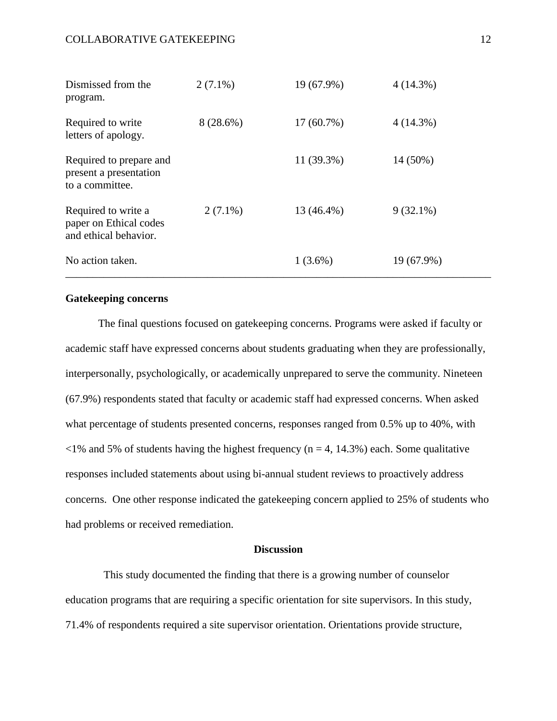| Dismissed from the<br>program.                                         | $2(7.1\%)$  | 19 (67.9%)   | 4(14.3%)    |
|------------------------------------------------------------------------|-------------|--------------|-------------|
| Required to write<br>letters of apology.                               | $8(28.6\%)$ | $17(60.7\%)$ | $4(14.3\%)$ |
| Required to prepare and<br>present a presentation<br>to a committee.   |             | 11 (39.3%)   | 14 (50%)    |
| Required to write a<br>paper on Ethical codes<br>and ethical behavior. | $2(7.1\%)$  | 13 (46.4%)   | $9(32.1\%)$ |
| No action taken.                                                       |             | $1(3.6\%)$   | 19 (67.9%)  |

# **Gatekeeping concerns**

The final questions focused on gatekeeping concerns. Programs were asked if faculty or academic staff have expressed concerns about students graduating when they are professionally, interpersonally, psychologically, or academically unprepared to serve the community. Nineteen (67.9%) respondents stated that faculty or academic staff had expressed concerns. When asked what percentage of students presented concerns, responses ranged from 0.5% up to 40%, with  $\langle 1\% \rangle$  and 5% of students having the highest frequency (n = 4, 14.3%) each. Some qualitative responses included statements about using bi-annual student reviews to proactively address concerns. One other response indicated the gatekeeping concern applied to 25% of students who had problems or received remediation.

# **Discussion**

 This study documented the finding that there is a growing number of counselor education programs that are requiring a specific orientation for site supervisors. In this study, 71.4% of respondents required a site supervisor orientation. Orientations provide structure,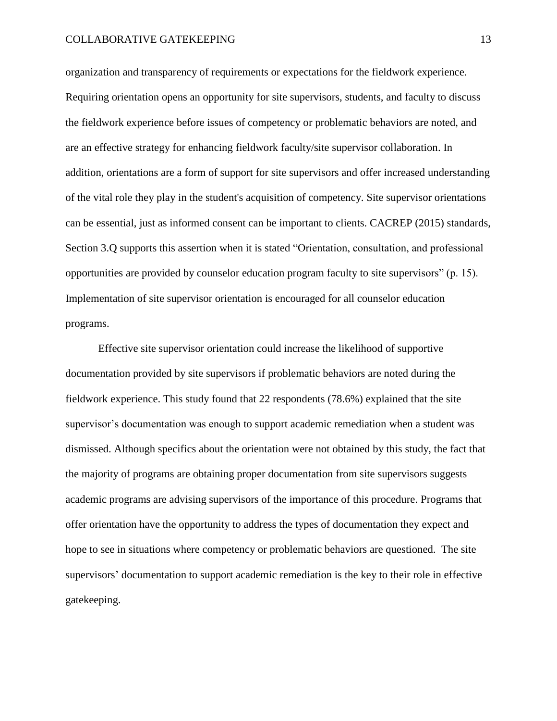organization and transparency of requirements or expectations for the fieldwork experience. Requiring orientation opens an opportunity for site supervisors, students, and faculty to discuss the fieldwork experience before issues of competency or problematic behaviors are noted, and are an effective strategy for enhancing fieldwork faculty/site supervisor collaboration. In addition, orientations are a form of support for site supervisors and offer increased understanding of the vital role they play in the student's acquisition of competency. Site supervisor orientations can be essential, just as informed consent can be important to clients. CACREP (2015) standards, Section 3.Q supports this assertion when it is stated "Orientation, consultation, and professional opportunities are provided by counselor education program faculty to site supervisors" (p. 15). Implementation of site supervisor orientation is encouraged for all counselor education programs.

Effective site supervisor orientation could increase the likelihood of supportive documentation provided by site supervisors if problematic behaviors are noted during the fieldwork experience. This study found that 22 respondents (78.6%) explained that the site supervisor's documentation was enough to support academic remediation when a student was dismissed. Although specifics about the orientation were not obtained by this study, the fact that the majority of programs are obtaining proper documentation from site supervisors suggests academic programs are advising supervisors of the importance of this procedure. Programs that offer orientation have the opportunity to address the types of documentation they expect and hope to see in situations where competency or problematic behaviors are questioned. The site supervisors' documentation to support academic remediation is the key to their role in effective gatekeeping.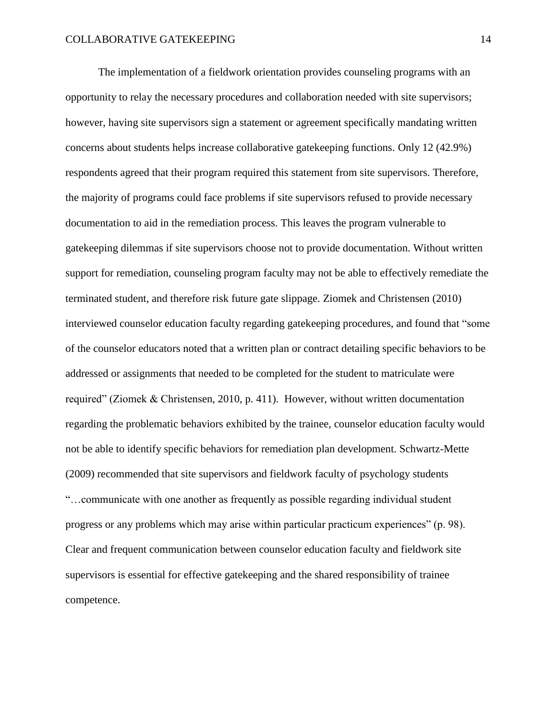The implementation of a fieldwork orientation provides counseling programs with an opportunity to relay the necessary procedures and collaboration needed with site supervisors; however, having site supervisors sign a statement or agreement specifically mandating written concerns about students helps increase collaborative gatekeeping functions. Only 12 (42.9%) respondents agreed that their program required this statement from site supervisors. Therefore, the majority of programs could face problems if site supervisors refused to provide necessary documentation to aid in the remediation process. This leaves the program vulnerable to gatekeeping dilemmas if site supervisors choose not to provide documentation. Without written support for remediation, counseling program faculty may not be able to effectively remediate the terminated student, and therefore risk future gate slippage. Ziomek and Christensen (2010) interviewed counselor education faculty regarding gatekeeping procedures, and found that "some of the counselor educators noted that a written plan or contract detailing specific behaviors to be addressed or assignments that needed to be completed for the student to matriculate were required" (Ziomek & Christensen, 2010, p. 411). However, without written documentation regarding the problematic behaviors exhibited by the trainee, counselor education faculty would not be able to identify specific behaviors for remediation plan development. Schwartz-Mette (2009) recommended that site supervisors and fieldwork faculty of psychology students "…communicate with one another as frequently as possible regarding individual student progress or any problems which may arise within particular practicum experiences" (p. 98). Clear and frequent communication between counselor education faculty and fieldwork site supervisors is essential for effective gatekeeping and the shared responsibility of trainee competence.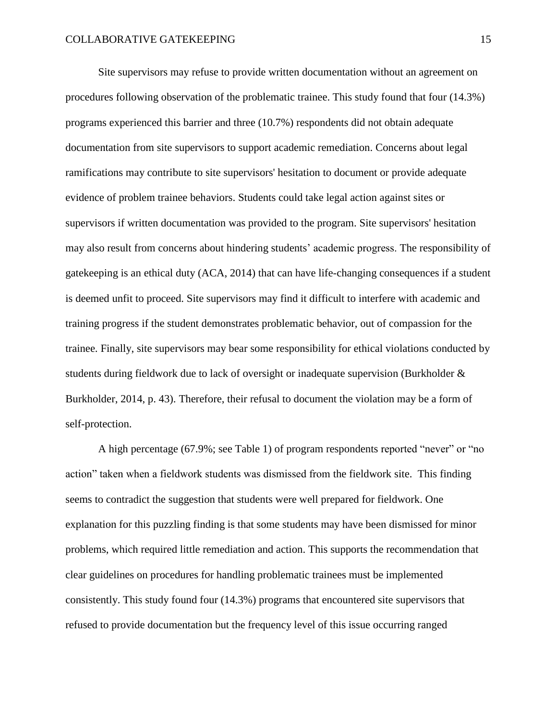Site supervisors may refuse to provide written documentation without an agreement on procedures following observation of the problematic trainee. This study found that four (14.3%) programs experienced this barrier and three (10.7%) respondents did not obtain adequate documentation from site supervisors to support academic remediation. Concerns about legal ramifications may contribute to site supervisors' hesitation to document or provide adequate evidence of problem trainee behaviors. Students could take legal action against sites or supervisors if written documentation was provided to the program. Site supervisors' hesitation may also result from concerns about hindering students' academic progress. The responsibility of gatekeeping is an ethical duty (ACA, 2014) that can have life-changing consequences if a student is deemed unfit to proceed. Site supervisors may find it difficult to interfere with academic and training progress if the student demonstrates problematic behavior, out of compassion for the trainee. Finally, site supervisors may bear some responsibility for ethical violations conducted by students during fieldwork due to lack of oversight or inadequate supervision (Burkholder & Burkholder, 2014, p. 43). Therefore, their refusal to document the violation may be a form of self-protection.

A high percentage (67.9%; see Table 1) of program respondents reported "never" or "no action" taken when a fieldwork students was dismissed from the fieldwork site. This finding seems to contradict the suggestion that students were well prepared for fieldwork. One explanation for this puzzling finding is that some students may have been dismissed for minor problems, which required little remediation and action. This supports the recommendation that clear guidelines on procedures for handling problematic trainees must be implemented consistently. This study found four (14.3%) programs that encountered site supervisors that refused to provide documentation but the frequency level of this issue occurring ranged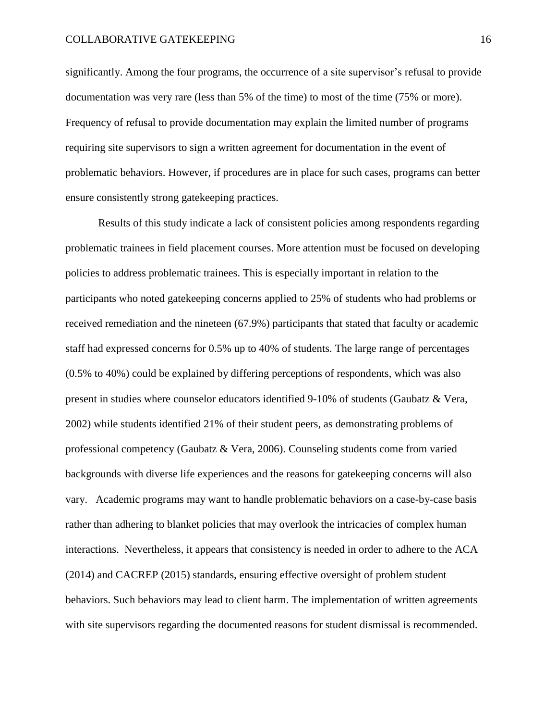significantly. Among the four programs, the occurrence of a site supervisor's refusal to provide documentation was very rare (less than 5% of the time) to most of the time (75% or more). Frequency of refusal to provide documentation may explain the limited number of programs requiring site supervisors to sign a written agreement for documentation in the event of problematic behaviors. However, if procedures are in place for such cases, programs can better ensure consistently strong gatekeeping practices.

Results of this study indicate a lack of consistent policies among respondents regarding problematic trainees in field placement courses. More attention must be focused on developing policies to address problematic trainees. This is especially important in relation to the participants who noted gatekeeping concerns applied to 25% of students who had problems or received remediation and the nineteen (67.9%) participants that stated that faculty or academic staff had expressed concerns for 0.5% up to 40% of students. The large range of percentages (0.5% to 40%) could be explained by differing perceptions of respondents, which was also present in studies where counselor educators identified 9-10% of students (Gaubatz & Vera, 2002) while students identified 21% of their student peers, as demonstrating problems of professional competency (Gaubatz & Vera, 2006). Counseling students come from varied backgrounds with diverse life experiences and the reasons for gatekeeping concerns will also vary. Academic programs may want to handle problematic behaviors on a case-by-case basis rather than adhering to blanket policies that may overlook the intricacies of complex human interactions. Nevertheless, it appears that consistency is needed in order to adhere to the ACA (2014) and CACREP (2015) standards, ensuring effective oversight of problem student behaviors. Such behaviors may lead to client harm. The implementation of written agreements with site supervisors regarding the documented reasons for student dismissal is recommended.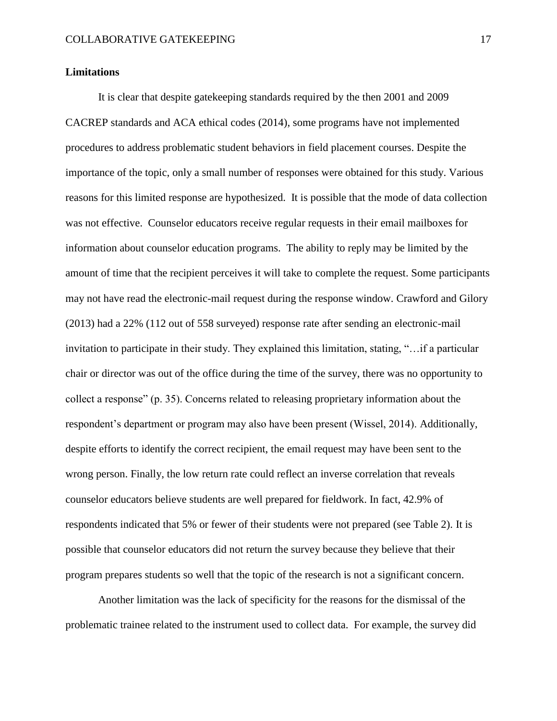# **Limitations**

It is clear that despite gatekeeping standards required by the then 2001 and 2009 CACREP standards and ACA ethical codes (2014), some programs have not implemented procedures to address problematic student behaviors in field placement courses. Despite the importance of the topic, only a small number of responses were obtained for this study. Various reasons for this limited response are hypothesized. It is possible that the mode of data collection was not effective. Counselor educators receive regular requests in their email mailboxes for information about counselor education programs. The ability to reply may be limited by the amount of time that the recipient perceives it will take to complete the request. Some participants may not have read the electronic-mail request during the response window. Crawford and Gilory (2013) had a 22% (112 out of 558 surveyed) response rate after sending an electronic-mail invitation to participate in their study. They explained this limitation, stating, "…if a particular chair or director was out of the office during the time of the survey, there was no opportunity to collect a response" (p. 35). Concerns related to releasing proprietary information about the respondent's department or program may also have been present (Wissel, 2014). Additionally, despite efforts to identify the correct recipient, the email request may have been sent to the wrong person. Finally, the low return rate could reflect an inverse correlation that reveals counselor educators believe students are well prepared for fieldwork. In fact, 42.9% of respondents indicated that 5% or fewer of their students were not prepared (see Table 2). It is possible that counselor educators did not return the survey because they believe that their program prepares students so well that the topic of the research is not a significant concern.

Another limitation was the lack of specificity for the reasons for the dismissal of the problematic trainee related to the instrument used to collect data. For example, the survey did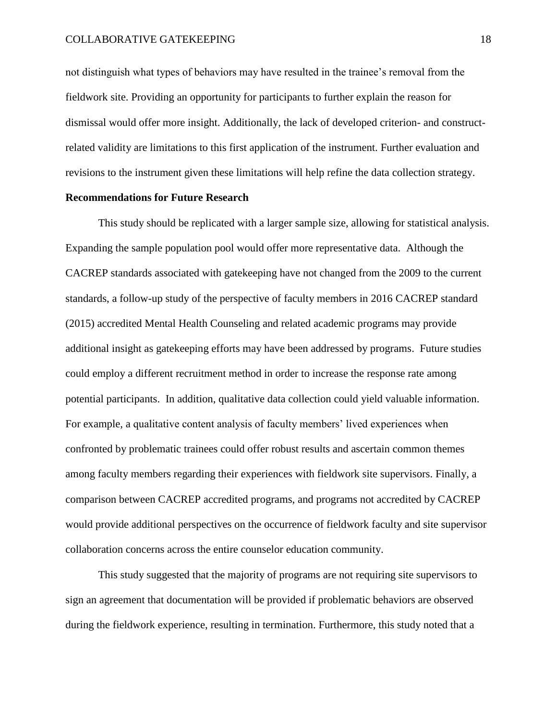not distinguish what types of behaviors may have resulted in the trainee's removal from the fieldwork site. Providing an opportunity for participants to further explain the reason for dismissal would offer more insight. Additionally, the lack of developed criterion- and constructrelated validity are limitations to this first application of the instrument. Further evaluation and revisions to the instrument given these limitations will help refine the data collection strategy.

# **Recommendations for Future Research**

This study should be replicated with a larger sample size, allowing for statistical analysis. Expanding the sample population pool would offer more representative data. Although the CACREP standards associated with gatekeeping have not changed from the 2009 to the current standards, a follow-up study of the perspective of faculty members in 2016 CACREP standard (2015) accredited Mental Health Counseling and related academic programs may provide additional insight as gatekeeping efforts may have been addressed by programs. Future studies could employ a different recruitment method in order to increase the response rate among potential participants. In addition, qualitative data collection could yield valuable information. For example, a qualitative content analysis of faculty members' lived experiences when confronted by problematic trainees could offer robust results and ascertain common themes among faculty members regarding their experiences with fieldwork site supervisors. Finally, a comparison between CACREP accredited programs, and programs not accredited by CACREP would provide additional perspectives on the occurrence of fieldwork faculty and site supervisor collaboration concerns across the entire counselor education community.

This study suggested that the majority of programs are not requiring site supervisors to sign an agreement that documentation will be provided if problematic behaviors are observed during the fieldwork experience, resulting in termination. Furthermore, this study noted that a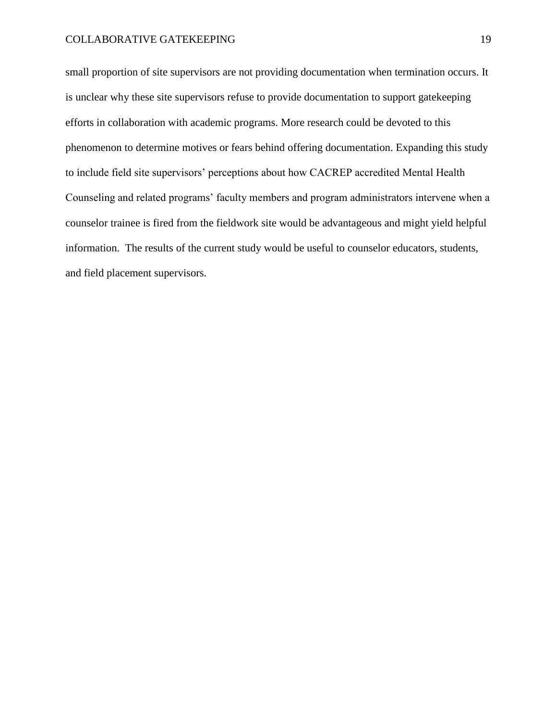small proportion of site supervisors are not providing documentation when termination occurs. It is unclear why these site supervisors refuse to provide documentation to support gatekeeping efforts in collaboration with academic programs. More research could be devoted to this phenomenon to determine motives or fears behind offering documentation. Expanding this study to include field site supervisors' perceptions about how CACREP accredited Mental Health Counseling and related programs' faculty members and program administrators intervene when a counselor trainee is fired from the fieldwork site would be advantageous and might yield helpful information. The results of the current study would be useful to counselor educators, students, and field placement supervisors.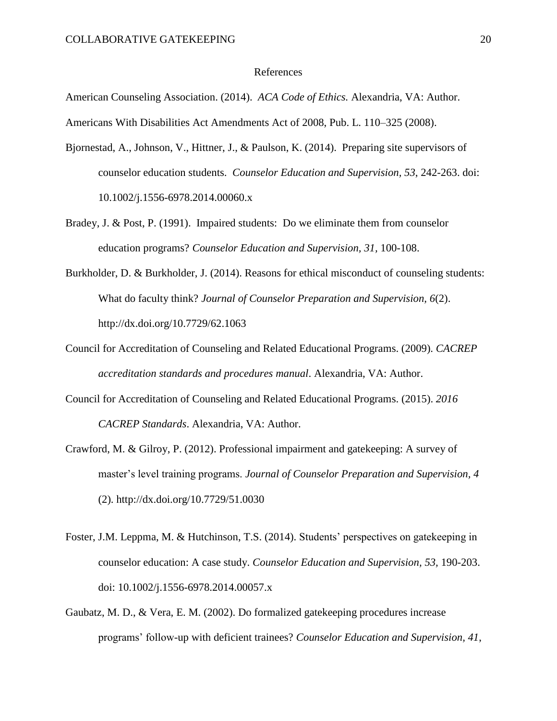#### References

American Counseling Association. (2014). *ACA Code of Ethics.* Alexandria, VA: Author.

Americans With Disabilities Act Amendments Act of 2008, Pub. L. 110–325 (2008).

- Bjornestad, A., Johnson, V., Hittner, J., & Paulson, K. (2014). Preparing site supervisors of counselor education students. *Counselor Education and Supervision, 53*, 242-263. doi: 10.1002/j.1556-6978.2014.00060.x
- Bradey, J. & Post, P. (1991). Impaired students: Do we eliminate them from counselor education programs? *Counselor Education and Supervision, 31,* 100-108.
- Burkholder, D. & Burkholder, J. (2014). Reasons for ethical misconduct of counseling students: What do faculty think? *Journal of Counselor Preparation and Supervision, 6*(2). http://dx.doi.org/10.7729/62.1063
- Council for Accreditation of Counseling and Related Educational Programs. (2009). *CACREP accreditation standards and procedures manual*. Alexandria, VA: Author.
- Council for Accreditation of Counseling and Related Educational Programs. (2015). *2016 CACREP Standards*. Alexandria, VA: Author.
- Crawford, M. & Gilroy, P. (2012). Professional impairment and gatekeeping: A survey of master's level training programs. *Journal of Counselor Preparation and Supervision, 4* (2). http://dx.doi.org/10.7729/51.0030
- Foster, J.M. Leppma, M. & Hutchinson, T.S. (2014). Students' perspectives on gatekeeping in counselor education: A case study. *Counselor Education and Supervision, 53,* 190-203. doi: 10.1002/j.1556-6978.2014.00057.x
- Gaubatz, M. D., & Vera, E. M. (2002). Do formalized gatekeeping procedures increase programs' follow-up with deficient trainees? *Counselor Education and Supervision, 41*,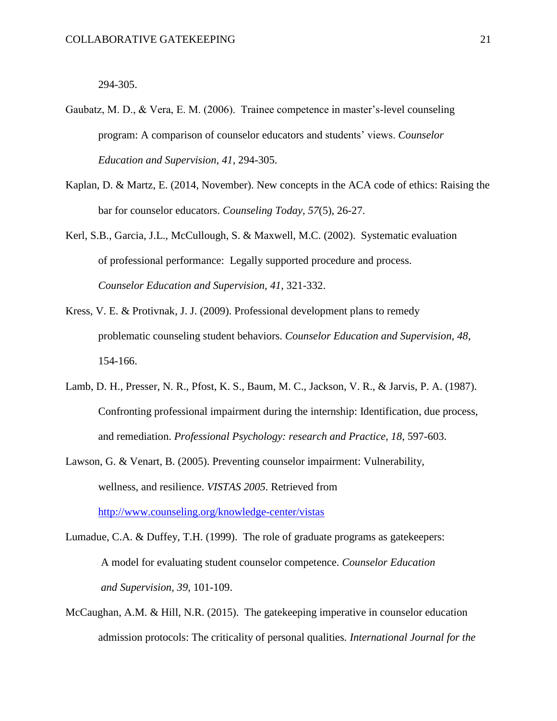294-305.

- Gaubatz, M. D., & Vera, E. M. (2006). Trainee competence in master's-level counseling program: A comparison of counselor educators and students' views. *Counselor Education and Supervision, 41*, 294-305.
- Kaplan, D. & Martz, E. (2014, November). New concepts in the ACA code of ethics: Raising the bar for counselor educators. *Counseling Today, 57*(5), 26-27.
- Kerl, S.B., Garcia, J.L., McCullough, S. & Maxwell, M.C. (2002). Systematic evaluation of professional performance: Legally supported procedure and process. *Counselor Education and Supervision, 41,* 321-332.
- Kress, V. E. & Protivnak, J. J. (2009). Professional development plans to remedy problematic counseling student behaviors. *Counselor Education and Supervision, 48*, 154-166.
- Lamb, D. H., Presser, N. R., Pfost, K. S., Baum, M. C., Jackson, V. R., & Jarvis, P. A. (1987). Confronting professional impairment during the internship: Identification, due process, and remediation. *Professional Psychology: research and Practice, 18*, 597-603.
- Lawson, G. & Venart, B. (2005). Preventing counselor impairment: Vulnerability, wellness, and resilience. *VISTAS 2005.* Retrieved from

<http://www.counseling.org/knowledge-center/vistas>

- Lumadue, C.A. & Duffey, T.H. (1999). The role of graduate programs as gatekeepers: A model for evaluating student counselor competence. *Counselor Education and Supervision, 39,* 101-109.
- McCaughan, A.M. & Hill, N.R. (2015). The gatekeeping imperative in counselor education admission protocols: The criticality of personal qualities*. International Journal for the*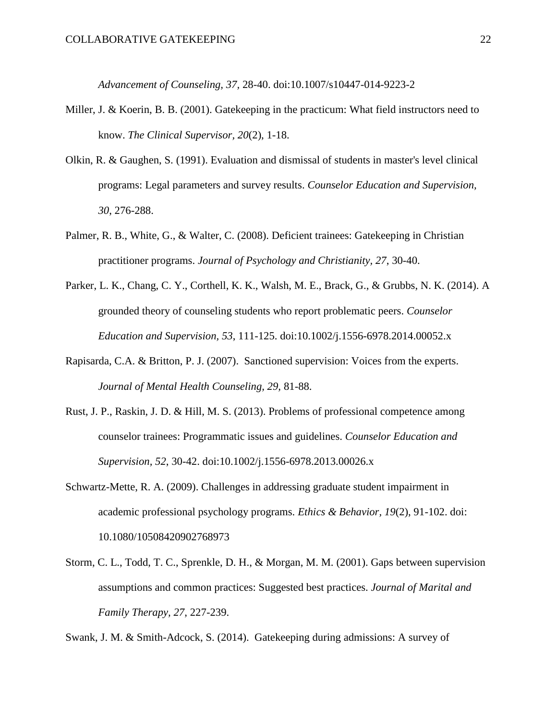*Advancement of Counseling, 37,* 28-40. doi:10.1007/s10447-014-9223-2

- Miller, J. & Koerin, B. B. (2001). Gatekeeping in the practicum: What field instructors need to know. *The Clinical Supervisor, 20*(2), 1-18.
- Olkin, R. & Gaughen, S. (1991). Evaluation and dismissal of students in master's level clinical programs: Legal parameters and survey results. *Counselor Education and Supervision, 30*, 276-288.
- Palmer, R. B., White, G., & Walter, C. (2008). Deficient trainees: Gatekeeping in Christian practitioner programs. *Journal of Psychology and Christianity, 27*, 30-40.
- Parker, L. K., Chang, C. Y., Corthell, K. K., Walsh, M. E., Brack, G., & Grubbs, N. K. (2014). A grounded theory of counseling students who report problematic peers. *Counselor Education and Supervision, 53*, 111-125. doi:10.1002/j.1556-6978.2014.00052.x
- Rapisarda, C.A. & Britton, P. J. (2007). Sanctioned supervision: Voices from the experts. *Journal of Mental Health Counseling, 29,* 81-88.
- Rust, J. P., Raskin, J. D. & Hill, M. S. (2013). Problems of professional competence among counselor trainees: Programmatic issues and guidelines. *Counselor Education and Supervision, 52*, 30-42. doi:10.1002/j.1556-6978.2013.00026.x
- Schwartz-Mette, R. A. (2009). Challenges in addressing graduate student impairment in academic professional psychology programs. *Ethics & Behavior, 19*(2), 91-102. doi: 10.1080/10508420902768973
- Storm, C. L., Todd, T. C., Sprenkle, D. H., & Morgan, M. M. (2001). Gaps between supervision assumptions and common practices: Suggested best practices. *Journal of Marital and Family Therapy, 27*, 227-239.

Swank, J. M. & Smith-Adcock, S. (2014). Gatekeeping during admissions: A survey of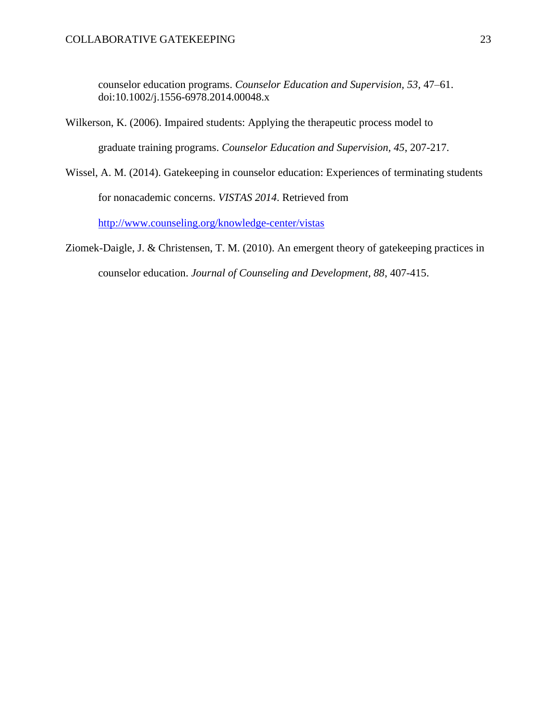counselor education programs. *Counselor Education and Supervision, 53,* 47–61. doi:10.1002/j.1556-6978.2014.00048.x

- Wilkerson, K. (2006). Impaired students: Applying the therapeutic process model to graduate training programs. *Counselor Education and Supervision, 45*, 207-217.
- Wissel, A. M. (2014). Gatekeeping in counselor education: Experiences of terminating students for nonacademic concerns. *VISTAS 2014*. Retrieved from <http://www.counseling.org/knowledge-center/vistas>
- Ziomek-Daigle, J. & Christensen, T. M. (2010). An emergent theory of gatekeeping practices in counselor education. *Journal of Counseling and Development, 88*, 407-415.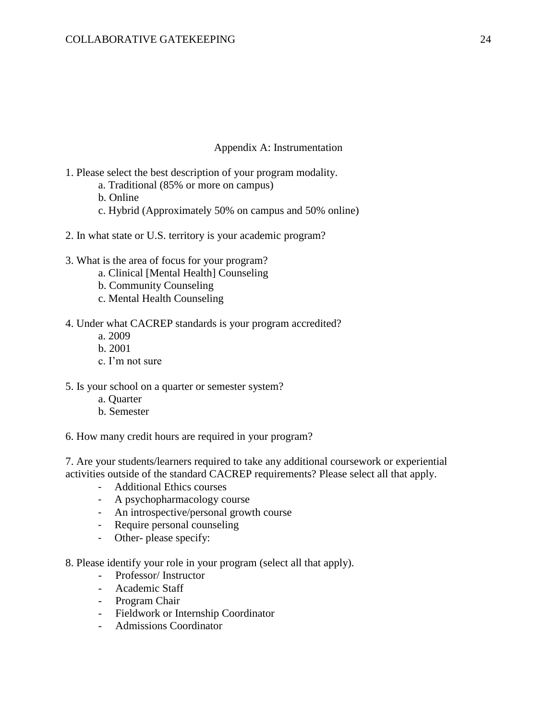# Appendix A: Instrumentation

- 1. Please select the best description of your program modality.
	- a. Traditional (85% or more on campus)
	- b. Online
	- c. Hybrid (Approximately 50% on campus and 50% online)
- 2. In what state or U.S. territory is your academic program?
- 3. What is the area of focus for your program?
	- a. Clinical [Mental Health] Counseling
	- b. Community Counseling
	- c. Mental Health Counseling
- 4. Under what CACREP standards is your program accredited?
	- a. 2009
	- b. 2001
	- c. I'm not sure
- 5. Is your school on a quarter or semester system?
	- a. Quarter
	- b. Semester

6. How many credit hours are required in your program?

7. Are your students/learners required to take any additional coursework or experiential activities outside of the standard CACREP requirements? Please select all that apply.

- Additional Ethics courses
- A psychopharmacology course
- An introspective/personal growth course
- Require personal counseling
- Other- please specify:
- 8. Please identify your role in your program (select all that apply).
	- Professor/ Instructor
	- Academic Staff
	- Program Chair
	- Fieldwork or Internship Coordinator
	- Admissions Coordinator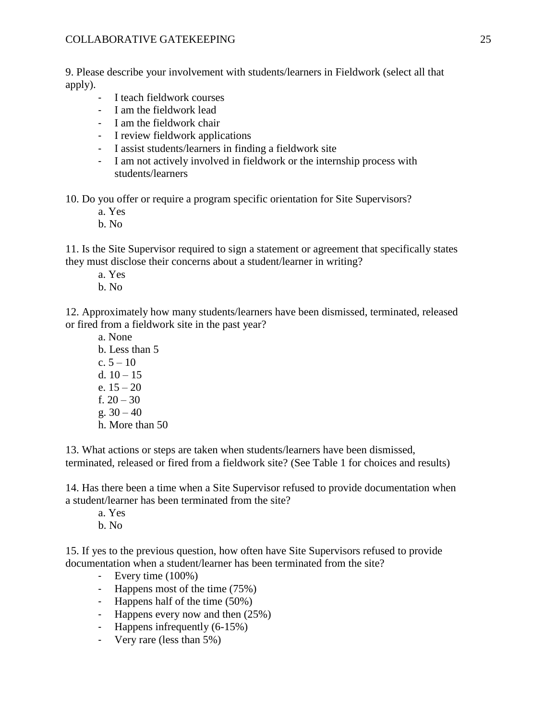9. Please describe your involvement with students/learners in Fieldwork (select all that apply).

- I teach fieldwork courses
- I am the fieldwork lead
- I am the fieldwork chair
- I review fieldwork applications
- I assist students/learners in finding a fieldwork site
- I am not actively involved in fieldwork or the internship process with students/learners

10. Do you offer or require a program specific orientation for Site Supervisors?

- a. Yes
- b. No

11. Is the Site Supervisor required to sign a statement or agreement that specifically states they must disclose their concerns about a student/learner in writing?

- a. Yes
- b. No

12. Approximately how many students/learners have been dismissed, terminated, released or fired from a fieldwork site in the past year?

a. None b. Less than 5 c. 5 – 10 d.  $10 - 15$ e. 15 – 20 f. 20 – 30 g.  $30 - 40$ h. More than 50

13. What actions or steps are taken when students/learners have been dismissed, terminated, released or fired from a fieldwork site? (See Table 1 for choices and results)

14. Has there been a time when a Site Supervisor refused to provide documentation when a student/learner has been terminated from the site?

- a. Yes
- b. No

15. If yes to the previous question, how often have Site Supervisors refused to provide documentation when a student/learner has been terminated from the site?

- Every time (100%)
- Happens most of the time (75%)
- Happens half of the time (50%)
- Happens every now and then (25%)
- Happens infrequently (6-15%)
- Very rare (less than 5%)